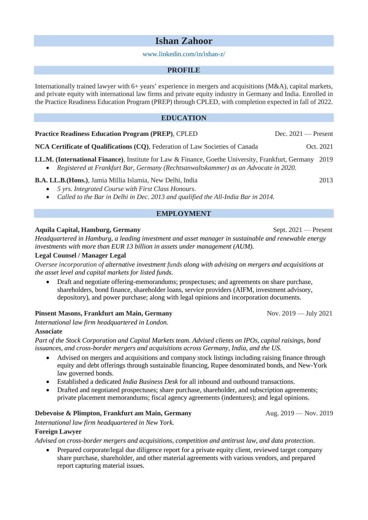# **Ishan Zahoor**

#### [www.linkedin.com/in/ishan-z/](http://www.linkedin.com/in/ishan-z/)

#### **PROFILE**

Internationally trained lawyer with  $6+$  years' experience in mergers and acquisitions (M&A), capital markets, and private equity with international law firms and private equity industry in Germany and India. Enrolled in the Practice Readiness Education Program (PREP) through CPLED, with completion expected in fall of 2022.

## **EDUCATION**

#### **Practice Readiness Education Program (PREP), CPLED Dec. 2021 — Present**

**NCA Certificate of Qualifications (CQ)**, Federation of Law Societies of Canada Oct. 2021

**LL.M. (International Finance)**, Institute for Law & Finance, Goethe University, Frankfurt, Germany 2019

• *Registered at Frankfurt Bar, Germany (Rechtsanwaltskammer) as an Advocate in 2020.*

## **B.A. LL.B.(Hons.)**, Jamia Millia Islamia, New Delhi, India 2013

- *5 yrs. Integrated Course with First Class Honours.*
- *Called to the Bar in Delhi in Dec. 2013 and qualified the All-India Bar in 2014.*

# **EMPLOYMENT**

## **Aquila Capital, Hamburg, Germany** Sept. 2021 — Present

*Headquartered in Hamburg, a leading investment and asset manager in sustainable and renewable energy investments with more than EUR 13 billion in assets under management (AUM).*

#### **Legal Counsel / Manager Legal**

*Oversee incorporation of alternative investment funds along with advising on mergers and acquisitions at the asset level and capital markets for listed funds.*

• Draft and negotiate offering-memorandums; prospectuses; and agreements on share purchase, shareholders, bond finance, shareholder loans, service providers (AIFM, investment advisory, depository), and power purchase; along with legal opinions and incorporation documents.

## **Pinsent Masons, Frankfurt am Main, Germany** Nov. 2019 — July 2021

*International law firm headquartered in London.* **Associate**

*Part of the Stock Corporation and Capital Markets team. Advised clients on IPOs, capital raisings, bond issuances, and cross-border mergers and acquisitions across Germany, India, and the US.*

- Advised on mergers and acquisitions and company stock listings including raising finance through equity and debt offerings through sustainable financing, Rupee denominated bonds, and New-York law governed bonds.
- Established a dedicated *India Business Desk* for all inbound and outbound transactions.
- Drafted and negotiated prospectuses; share purchase, shareholder, and subscription agreements; private placement memorandums; fiscal agency agreements (indentures); and legal opinions.

## **Debevoise & Plimpton, Frankfurt am Main, Germany Aug. 2019 — Nov. 2019**

*International law firm headquartered in New York.* 

## **Foreign Lawyer**

*Advised on cross-border mergers and acquisitions, competition and antitrust law, and data protection*.

• Prepared corporate/legal due diligence report for a private equity client, reviewed target company share purchase, shareholder, and other material agreements with various vendors, and prepared report capturing material issues.